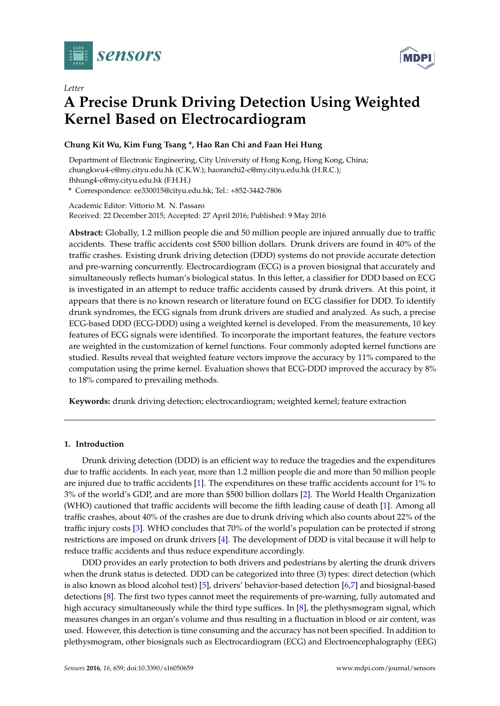

*Letter*



# **A Precise Drunk Driving Detection Using Weighted Kernel Based on Electrocardiogram**

#### **Chung Kit Wu, Kim Fung Tsang \*, Hao Ran Chi and Faan Hei Hung**

Department of Electronic Engineering, City University of Hong Kong, Hong Kong, China; chungkwu4-c@my.cityu.edu.hk (C.K.W.); haoranchi2-c@my.cityu.edu.hk (H.R.C.); fhhung4-c@my.cityu.edu.hk (F.H.H.)

**\*** Correspondence: ee330015@cityu.edu.hk; Tel.: +852-3442-7806

Academic Editor: Vittorio M. N. Passaro Received: 22 December 2015; Accepted: 27 April 2016; Published: 9 May 2016

**Abstract:** Globally, 1.2 million people die and 50 million people are injured annually due to traffic accidents. These traffic accidents cost \$500 billion dollars. Drunk drivers are found in 40% of the traffic crashes. Existing drunk driving detection (DDD) systems do not provide accurate detection and pre-warning concurrently. Electrocardiogram (ECG) is a proven biosignal that accurately and simultaneously reflects human's biological status. In this letter, a classifier for DDD based on ECG is investigated in an attempt to reduce traffic accidents caused by drunk drivers. At this point, it appears that there is no known research or literature found on ECG classifier for DDD. To identify drunk syndromes, the ECG signals from drunk drivers are studied and analyzed. As such, a precise ECG-based DDD (ECG-DDD) using a weighted kernel is developed. From the measurements, 10 key features of ECG signals were identified. To incorporate the important features, the feature vectors are weighted in the customization of kernel functions. Four commonly adopted kernel functions are studied. Results reveal that weighted feature vectors improve the accuracy by 11% compared to the computation using the prime kernel. Evaluation shows that ECG-DDD improved the accuracy by 8% to 18% compared to prevailing methods.

**Keywords:** drunk driving detection; electrocardiogram; weighted kernel; feature extraction

#### **1. Introduction**

Drunk driving detection (DDD) is an efficient way to reduce the tragedies and the expenditures due to traffic accidents. In each year, more than 1.2 million people die and more than 50 million people are injured due to traffic accidents [\[1\]](#page-7-0). The expenditures on these traffic accidents account for 1% to 3% of the world's GDP, and are more than \$500 billion dollars [\[2\]](#page-7-1). The World Health Organization (WHO) cautioned that traffic accidents will become the fifth leading cause of death [\[1\]](#page-7-0). Among all traffic crashes, about 40% of the crashes are due to drunk driving which also counts about 22% of the traffic injury costs [\[3\]](#page-7-2). WHO concludes that 70% of the world's population can be protected if strong restrictions are imposed on drunk drivers [\[4\]](#page-7-3). The development of DDD is vital because it will help to reduce traffic accidents and thus reduce expenditure accordingly.

DDD provides an early protection to both drivers and pedestrians by alerting the drunk drivers when the drunk status is detected. DDD can be categorized into three (3) types: direct detection (which is also known as blood alcohol test) [\[5\]](#page-7-4), drivers' behavior-based detection [\[6](#page-7-5)[,7\]](#page-7-6) and biosignal-based detections [\[8\]](#page-8-0). The first two types cannot meet the requirements of pre-warning, fully automated and high accuracy simultaneously while the third type suffices. In [\[8\]](#page-8-0), the plethysmogram signal, which measures changes in an organ's volume and thus resulting in a fluctuation in blood or air content, was used. However, this detection is time consuming and the accuracy has not been specified. In addition to plethysmogram, other biosignals such as Electrocardiogram (ECG) and Electroencephalography (EEG)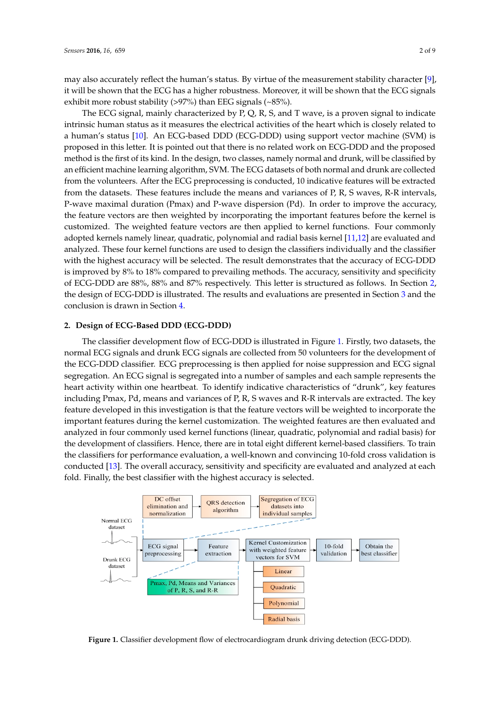may also accurately reflect the human's status. By virtue of the measurement stability character [\[9\]](#page-8-1), it will be shown that the ECG has a higher robustness. Moreover, it will be shown that the ECG signals exhibit more robust stability (>97%) than EEG signals (~85%).

The ECG signal, mainly characterized by  $P$ , Q, R, S, and T wave, is a proven signal to indicate intrinsic human status as it measures the electrical activities of the heart which is closely related to a human's status [\[10\]](#page-8-2). An ECG-based DDD (ECG-DDD) using support vector machine (SVM) is a numan's status [10]. An ECG status DDD (ECG-DDD) and geopper vector machine (SVM) is<br>proposed in this letter. It is pointed out that there is no related work on ECG-DDD and the proposed proposed in this letter. It is pointed out that there is no related work on ECG-DDD and the proposed method is the first of its kind. In the design, two classes, namely normal and drunk, will be classified by an efficient machine learning algorithm, SVM. The ECG datasets of both normal and drunk are collected<br>Classified by an efficient machine learning algorithm, SVM. The ECG datasets of both normal and drunk are collected from the volunteers. After the ECG preprocessing is conducted, 10 indicative features will be extracted from the volunteers. from the datasets. These features include the means and variances of P, R, S waves, R-R intervals, P-wave maximal duration (Pmax) and P-wave dispersion (Pd). In order to improve the accuracy,<br> the feature vectors are then weighted by incorporating the important features before the kernel is customized. The weighted feature vectors are then applied to kernel functions. Four commonly adopted kernels namely linear, quadratic, polynomial and radial basis kernel [\[11,](#page-8-3)[12\]](#page-8-4) are evaluated and analyzed. These four kernel functions are used to design the classifiers individually and the classifier with the highest accuracy will be selected. The result demonstrates that the accuracy of  $\mathrm{ECG\text{-}DDD}$ is improved by  $8\%$  to  $18\%$  compared to prevailing methods. The accuracy, sensitivity and specificity of ECG-DDD are 88%, 88% and 87% respectively. This letter is structured as follows. In Section [2,](#page-1-0) the design of ECG-DDD is ill[us](#page-5-0)trated. The results and evaluations are presented in Section 3 and the conclusion is drawn in Section [4.](#page-7-7) proposed method is the first of its kind. In the design, two classes, namely normal and drunk, will be chosen by

### <span id="page-1-0"></span>**2. Design of ECG-Based DDD (ECG-DDD) 2. Design of ECG-Based DDD (ECG-DDD)**

The classifier development flow of ECG-DDD is illustrated in Figure [1.](#page-1-1) Firstly, two datasets, the The classifier development flow of ECG-DDD is illustrated in Figure 1. Firstly, two datasets, the normal ECG signals and drunk ECG signals are collected from 50 volunteers for the development of normal ECG signals and drunk ECG signals are collected from 50 volunteers for the development of the ECG-DDD classifier. ECG preprocessing is then applied for noise suppression and ECG signal the ECG-DDD classifier. ECG preprocessing is then applied for noise suppression and ECG signal segregation. An ECG signal is segregated into a number of samples and each sample represents the segregation. An ECG signal is segregated into a number of samples and each sample represents the heart activity within one heartbeat. To identify indicative characteristics of "drunk", key features heart activity within one heartbeat. To identify indicative characteristics of "drunk", key features including Pmax, Pd, means and variances of P, R, S waves and R-R intervals are extracted. The key including Pmax, Pd, means and variances of P, R, S waves and R-R intervals are extracted. The key feature developed in this investigation is that the feature vectors will be weighted to incorporate the feature developed in this investigation is that the feature vectors will be weighted to incorporate the important features during the kernel customization. The weighted features are then evaluated and important features during the kernel customization. The weighted features are then evaluated and analyzed in four commonly used kernel functions (linear, quadratic, polynomial and radial basis) for analyzed in four commonly used kernel functions (linear, quadratic, polynomial and radial basis) the development of classifiers. Hence, there are in total eight different kernel-based classifiers. To train the classifiers for performance evaluation, a well-known and convincing 10-fold cross validation is conducted [\[13\]](#page-8-5). The overall accuracy, sensitivity and specificity are evaluated and analyzed at each fold. Finally, the best classifier with the highest accuracy is selected.

<span id="page-1-1"></span>

**Figure 1.** Classifier development flow of electrocardiogram drunk driving detection (ECG-DDD).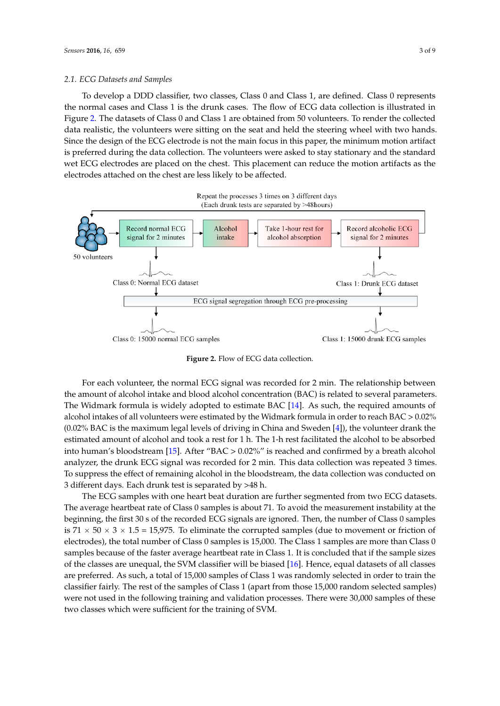# *2.1. ECG Datasets and Samples 2.1. ECG Datasets and Samples*

To develop a DDD classifier, two classes, Class 0 and Class 1, are defined. Class 0 represents To develop a DDD classifier, two classes, Class 0 and Class 1, are defined. Class 0 represents the normal cases and Class 1 is the drunk cases. The flow of ECG data collection is illustrated in the normal cases and Class 1 is the drunk cases. The flow of ECG data collection is illustrated in Figure [2.](#page-2-0) The datasets of Class 0 and Class 1 are obtained from 50 volunteers. To render the collected data realistic, the volunteers were sitting on the seat and held the steering wheel with two hands. Since the design of the ECG electrode is not the main focus in this paper, the minimum motion artifact is preferred during the data collection. The volunteers were asked to stay stationary and the standard  $\frac{a}{b}$  wet ECG electrodes are placed on the chest. This placement can reduce the motion artifacts as the electrodes attached on the chest are less likely to be affected.

<span id="page-2-0"></span>

**Figure 2.** Flow of ECG data collection. **Figure 2.** Flow of ECG data collection.

For each volunteer, the normal ECG signal was recorded for 2 min. The relationship between For each volunteer, the normal ECG signal was recorded for 2 min. The relationship between the amount of alcohol intake and blood alcohol concentration (BAC) is related to several parameters. the amount of alcohol intake and blood alcohol concentration (BAC) is related to several parameters. The Widmark formula is widely adopted to estimate BAC [\[14\]](#page-8-6). As such, the required amounts of alcohol intakes of all volunteers were estimated by the Widmark formula in order to reach BAC > 0.02% >0.02% (0.02% BAC is the maximum legal levels of driving in China and [S](#page-7-3)weden [4]), the volunteer (0.02% BAC is the maximum legal levels of driving in China and Sweden [4]), the volunteer drank the estimated amount of alcohol and took a rest for 1 h. The 1-h rest facilitated the alcohol to be absorbed into human's [bloo](#page-8-7)dstream [15]. After "BAC >  $0.02\%$ " is reached and confirmed by a breath alcohol analyzer, the drunk ECG signal was recorded for 2 min. This data collection was repeated 3 times. To suppress the effect of remaining alcohol in the bloodstream, the data collection was conducted on 3 different days. Each drunk test is separated by >48 h.

The ECG samples with one heart beat duration are further segmented from two ECG datasets. The average heartbeat rate of Class 0 samples is about 71. To avoid the measurement instability at The average heartbeat rate of Class 0 samples is about 71. To avoid the measurement instability at the the beginning, the first 30 s of the recorded ECG signals are ignored. Then, the number of Class 0 beginning, the first 30 s of the recorded ECG signals are ignored. Then, the number of Class 0 samples is  $71 \times 50 \times 3 \times 1.5 = 15,975$ . To eliminate the corrupted samples (due to movement or friction of electrodes), the total number of Class 0 samples is 15,000. The Class 1 samples are more than Class 0 samples because of the faster average heartbeat rate in Class 1. It is concluded that if the sample sizes of the classes are unequal, the SVM clas[sifie](#page-8-8)r will be biased [16]. Hence, equal datasets of all classes are preferred. As such, a total of 15,000 samples of Class 1 was randomly selected in order to train the classifier fairly. The rest of the samples of Class 1 (apart from those 15,000 random selected samples) were not used in the following training and validation processes. There were 30,000 samples of these two classes which were sufficient for the training of SVM.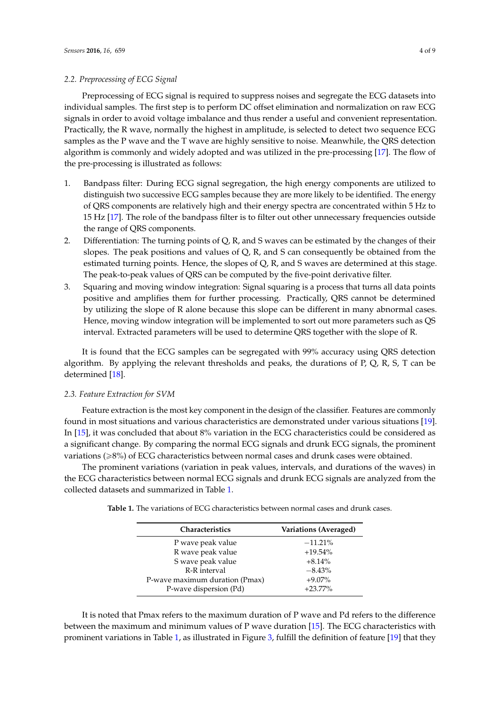#### *2.2. Preprocessing of ECG Signal*

Preprocessing of ECG signal is required to suppress noises and segregate the ECG datasets into individual samples. The first step is to perform DC offset elimination and normalization on raw ECG signals in order to avoid voltage imbalance and thus render a useful and convenient representation. Practically, the R wave, normally the highest in amplitude, is selected to detect two sequence ECG samples as the P wave and the T wave are highly sensitive to noise. Meanwhile, the QRS detection algorithm is commonly and widely adopted and was utilized in the pre-processing [\[17\]](#page-8-9). The flow of the pre-processing is illustrated as follows:

- 1. Bandpass filter: During ECG signal segregation, the high energy components are utilized to distinguish two successive ECG samples because they are more likely to be identified. The energy of QRS components are relatively high and their energy spectra are concentrated within 5 Hz to 15 Hz [\[17\]](#page-8-9). The role of the bandpass filter is to filter out other unnecessary frequencies outside the range of QRS components.
- 2. Differentiation: The turning points of Q, R, and S waves can be estimated by the changes of their slopes. The peak positions and values of  $Q$ ,  $R$ , and  $S$  can consequently be obtained from the estimated turning points. Hence, the slopes of Q, R, and S waves are determined at this stage. The peak-to-peak values of QRS can be computed by the five-point derivative filter.
- 3. Squaring and moving window integration: Signal squaring is a process that turns all data points positive and amplifies them for further processing. Practically, QRS cannot be determined by utilizing the slope of R alone because this slope can be different in many abnormal cases. Hence, moving window integration will be implemented to sort out more parameters such as QS interval. Extracted parameters will be used to determine QRS together with the slope of R.

It is found that the ECG samples can be segregated with 99% accuracy using QRS detection algorithm. By applying the relevant thresholds and peaks, the durations of P, Q, R, S, T can be determined [\[18\]](#page-8-10).

#### *2.3. Feature Extraction for SVM*

Feature extraction is the most key component in the design of the classifier. Features are commonly found in most situations and various characteristics are demonstrated under various situations [\[19\]](#page-8-11). In [\[15\]](#page-8-7), it was concluded that about 8% variation in the ECG characteristics could be considered as a significant change. By comparing the normal ECG signals and drunk ECG signals, the prominent variations (ě8%) of ECG characteristics between normal cases and drunk cases were obtained.

<span id="page-3-0"></span>The prominent variations (variation in peak values, intervals, and durations of the waves) in the ECG characteristics between normal ECG signals and drunk ECG signals are analyzed from the collected datasets and summarized in Table [1.](#page-3-0)

| <b>Table 1.</b> The variations of ECG characteristics between normal cases and drunk cases. |
|---------------------------------------------------------------------------------------------|
|---------------------------------------------------------------------------------------------|

| Characteristics                | Variations (Averaged) |
|--------------------------------|-----------------------|
| P wave peak value              | $-11.21%$             |
| R wave peak value              | $+19.54\%$            |
| S wave peak value              | $+8.14%$              |
| R-R interval                   | $-8.43%$              |
| P-wave maximum duration (Pmax) | $+9.07\%$             |
| P-wave dispersion (Pd)         | $+23.77%$             |

It is noted that Pmax refers to the maximum duration of P wave and Pd refers to the difference between the maximum and minimum values of P wave duration [\[15\]](#page-8-7). The ECG characteristics with prominent variations in Table [1,](#page-3-0) as illustrated in Figure [3,](#page-4-0) fulfill the definition of feature [\[19\]](#page-8-11) that they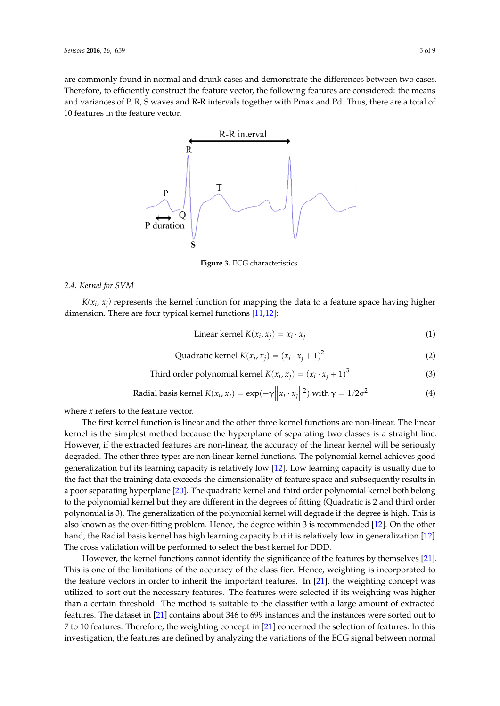<span id="page-4-0"></span>are commonly found in normal and drunk cases and demonstrate the differences between two cases. Therefore, to efficiently construct the feature vector, the following features are considered: the means and variances of P, R, S waves and R-R intervals together with Pmax and Pd. Thus, there are a total of 10 features in the feature vector. *Sensors* **2016**, *16*, 659 5 of 9



**Figure 3.** ECG characteristics. **Figure 3.** ECG characteristics.

## *2.4. Kernel for SVM 2.4. Kernel for SVM*

 $K(x_i, x_j)$  represents the kernel function for mapping the data to a feature space having higher dimension. There are four typical kernel functions [11,12]: dimension. There are four typical kernel functions [\[11](#page-8-3)[,12\]](#page-8-4):

Linear kernel 
$$
K(x_i, x_j) = x_i \cdot x_j
$$
 (1)

Quadratic kernel 
$$
K(x_i, x_j) = (x_i \cdot x_j + 1)^2
$$
 (2)

Third order polynomial kernel 
$$
K(x_i, x_j) = (x_i \cdot x_j + 1)^3
$$
 (3)

Radial basis kernel 
$$
K(x_i, x_j) = \exp(-\gamma ||x_i \cdot x_j||^2)
$$
 with  $\gamma = 1/2\sigma^2$  (4)

where *x* refers to the feature vector. where *x* refers to the feature vector.

The first kernel function is linear and the other three kernel functions are non-linear. The linear The first kernel function is linear and the other three kernel functions are non-linear. The linear kernel is the simplest method because the hyperplane of separating two classes is a straight line. kernel is the simplest method because the hyperplane of separating two classes is a straight line. However, if the extracted features are non-linear, the accuracy of the linear kernel will be seriously However, if the extracted features are non-linear, the accuracy of the linear kernel will be seriously degraded. The other three types are non-linear kernel functions. The polynomial kernel achieves degraded. The other three types are non-linear kernel functions. The polynomial kernel achieves good generalization but its learning capacity is relatively low [\[12\]](#page-8-4). Low learning capacity is usually due to the fact that the training data exceeds the dimensionality of feature space and subsequently results in a poor separating hyperplane [\[20\]](#page-8-12). The quadratic kernel and third order polynomial kernel both belong to the polynomial kernel but they are different in the degrees of fitting (Quadratic is 2 and third order polynomial is 3). The generalization of the polynomial kernel will degrade if the degree is high. This is also known as the over-fitting problem. Hence, the degree within 3 is recommended [\[12\]](#page-8-4). On the other mate the other has the other hands presences the other happens of the material control paper of the called hand, the Radial basis kernel has high learning capacity but it is relatively low in generalization [\[12\]](#page-8-4). but it is relatively low in generalization [12]. The cross validation will be performed to select the The cross validation will be performed to select the best kernel for DDD.

However, the kernel functions cannot identify the significance of the features by themselves [\[21\]](#page-8-13). This is one of the limitations of the accuracy of the classifier. Hence, weighting is incorporated to the feature vectors in order to inherit the important features. In [\[21\]](#page-8-13), the weighting concept was to the feature vectors in order to inherit the important features. In [21], the weighting concept was utilized to sort out the necessary features. The features were selected if its weighting was higher utilized to sort out the necessary features. The features were selected if its weighting was higher than a certain threshold. The method is suitable to the classifier with a large amount of extracted than a certain threshold. The method is suitable to the classifier with a large amount of extracted features. The dataset in [\[21\]](#page-8-13) contains about 346 to 699 instances and the instances were sorted out to features. The dataset in [21] contains about 346 to 699 instances and the instances were sorted out to 7 to 10 features. Therefore, the weighting concept in [\[21\]](#page-8-13) concerned the selection of features. In this  $\frac{1}{2}$  to 10 features. Therefore, the weighting concept in  $\frac{1}{2}$  concept in  $\frac{1}{2}$  concerned to  $\frac{1}{2}$  concerned to  $\frac{1}{2}$  concerned to  $\frac{1}{2}$  concerned to  $\frac{1}{2}$  concerned to  $\frac{1}{2}$  concerned to investigation, the features are defined by analyzing the variations of the ECG signal between investigation, the features are defined by analyzing the variations of the ECG signal between normal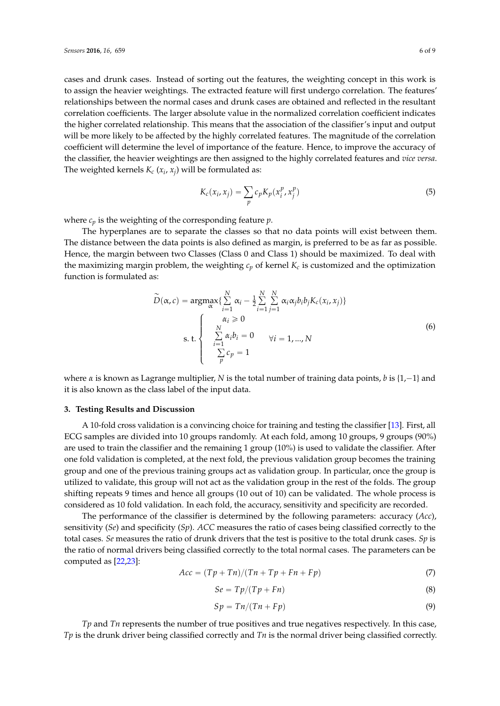cases and drunk cases. Instead of sorting out the features, the weighting concept in this work is to assign the heavier weightings. The extracted feature will first undergo correlation. The features' relationships between the normal cases and drunk cases are obtained and reflected in the resultant correlation coefficients. The larger absolute value in the normalized correlation coefficient indicates the higher correlated relationship. This means that the association of the classifier's input and output will be more likely to be affected by the highly correlated features. The magnitude of the correlation coefficient will determine the level of importance of the feature. Hence, to improve the accuracy of the classifier, the heavier weightings are then assigned to the highly correlated features and *vice versa*. The weighted kernels  $K_c\left(x_i,x_j\right)$  will be formulated as:

$$
K_c(x_i, x_j) = \sum_p c_p K_p(x_i^p, x_j^p)
$$
\n(5)

where *c<sup>p</sup>* is the weighting of the corresponding feature *p*.

The hyperplanes are to separate the classes so that no data points will exist between them. The distance between the data points is also defined as margin, is preferred to be as far as possible. Hence, the margin between two Classes (Class 0 and Class 1) should be maximized. To deal with the maximizing margin problem, the weighting *c<sup>p</sup>* of kernel *K<sup>c</sup>* is customized and the optimization function is formulated as:

$$
\widetilde{D}(\alpha, c) = \underset{\alpha}{\operatorname{argmax}} \{ \sum_{i=1}^{N} \alpha_i - \frac{1}{2} \sum_{i=1}^{N} \sum_{j=1}^{N} \alpha_i \alpha_j b_i b_j K_c(x_i, x_j) \}
$$
\ns. t. 
$$
\begin{cases}\n\alpha_i \ge 0 \\
\sum_{i=1}^{N} \alpha_i b_i = 0 \\
\sum_{i=1}^{N} c_i b_i = 1, ..., N \\
\sum_{p} c_p = 1\n\end{cases}
$$
\n(6)

where  $\alpha$  is known as Lagrange multiplier, *N* is the total number of training data points, *b* is {1,-1} and it is also known as the class label of the input data.

#### <span id="page-5-0"></span>**3. Testing Results and Discussion**

A 10-fold cross validation is a convincing choice for training and testing the classifier [\[13\]](#page-8-5). First, all ECG samples are divided into 10 groups randomly. At each fold, among 10 groups, 9 groups (90%) are used to train the classifier and the remaining 1 group (10%) is used to validate the classifier. After one fold validation is completed, at the next fold, the previous validation group becomes the training group and one of the previous training groups act as validation group. In particular, once the group is utilized to validate, this group will not act as the validation group in the rest of the folds. The group shifting repeats 9 times and hence all groups (10 out of 10) can be validated. The whole process is considered as 10 fold validation. In each fold, the accuracy, sensitivity and specificity are recorded.

The performance of the classifier is determined by the following parameters: accuracy (*Acc*), sensitivity (*Se*) and specificity (*Sp*). *ACC* measures the ratio of cases being classified correctly to the total cases. *Se* measures the ratio of drunk drivers that the test is positive to the total drunk cases. *Sp* is the ratio of normal drivers being classified correctly to the total normal cases. The parameters can be computed as [\[22](#page-8-14)[,23\]](#page-8-15):

$$
Acc = (Tp + Tn)/(Tn + Tp + Fn + Fp)
$$
\n(7)

$$
Se = Tp/(Tp + Fn) \tag{8}
$$

$$
Sp = Tn/(Tn + Fp) \tag{9}
$$

*Tp* and *Tn* represents the number of true positives and true negatives respectively. In this case, *Tp* is the drunk driver being classified correctly and *Tn* is the normal driver being classified correctly.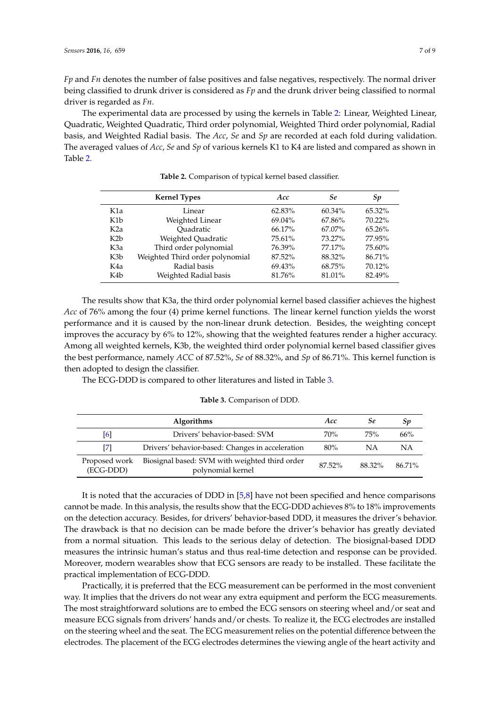*Fp* and *Fn* denotes the number of false positives and false negatives, respectively. The normal driver being classified to drunk driver is considered as *Fp* and the drunk driver being classified to normal driver is regarded as *Fn*.

The experimental data are processed by using the kernels in Table [2:](#page-6-0) Linear, Weighted Linear, Quadratic, Weighted Quadratic, Third order polynomial, Weighted Third order polynomial, Radial basis, and Weighted Radial basis. The *Acc*, *Se* and *Sp* are recorded at each fold during validation. The averaged values of *Acc*, *Se* and *Sp* of various kernels K1 to K4 are listed and compared as shown in Table [2.](#page-6-0)

<span id="page-6-0"></span>

|                  | <b>Kernel Types</b>             | Acc    | Se     | Sp        |
|------------------|---------------------------------|--------|--------|-----------|
| K1a              | Linear                          | 62.83% | 60.34% | $65.32\%$ |
| K <sub>1</sub> b | Weighted Linear                 | 69.04% | 67.86% | 70.22%    |
| K <sub>2</sub> a | Ouadratic                       | 66.17% | 67.07% | $65.26\%$ |
| K2b              | Weighted Quadratic              | 75.61% | 73.27% | 77.95%    |
| K3a              | Third order polynomial          | 76.39% | 77.17% | 75.60%    |
| K3b              | Weighted Third order polynomial | 87.52% | 88.32% | 86.71%    |
| K4a              | Radial basis                    | 69.43% | 68.75% | 70.12%    |
| K4b              | Weighted Radial basis           | 81.76% | 81.01% | 82.49%    |

**Table 2.** Comparison of typical kernel based classifier.

The results show that K3a, the third order polynomial kernel based classifier achieves the highest *Acc* of 76% among the four (4) prime kernel functions. The linear kernel function yields the worst performance and it is caused by the non-linear drunk detection. Besides, the weighting concept improves the accuracy by 6% to 12%, showing that the weighted features render a higher accuracy. Among all weighted kernels, K3b, the weighted third order polynomial kernel based classifier gives the best performance, namely *ACC* of 87.52%, *Se* of 88.32%, and *Sp* of 86.71%. This kernel function is then adopted to design the classifier.

<span id="page-6-1"></span>The ECG-DDD is compared to other literatures and listed in Table [3.](#page-6-1)

#### **Table 3.** Comparison of DDD.

|                            | <b>Algorithms</b>                                                   | Acc    | Se     | 5p     |
|----------------------------|---------------------------------------------------------------------|--------|--------|--------|
| [6]                        | Drivers' behavior-based: SVM                                        | 70%    | 75%    | 66%    |
| [7]                        | Drivers' behavior-based: Changes in acceleration                    | $80\%$ | NΑ     | ΝA     |
| Proposed work<br>(ECG-DDD) | Biosignal based: SVM with weighted third order<br>polynomial kernel | 87.52% | 88.32% | 86.71% |

It is noted that the accuracies of DDD in [\[5,](#page-7-4)[8\]](#page-8-0) have not been specified and hence comparisons cannot be made. In this analysis, the results show that the ECG-DDD achieves 8% to 18% improvements on the detection accuracy. Besides, for drivers' behavior-based DDD, it measures the driver's behavior. The drawback is that no decision can be made before the driver's behavior has greatly deviated from a normal situation. This leads to the serious delay of detection. The biosignal-based DDD measures the intrinsic human's status and thus real-time detection and response can be provided. Moreover, modern wearables show that ECG sensors are ready to be installed. These facilitate the practical implementation of ECG-DDD.

Practically, it is preferred that the ECG measurement can be performed in the most convenient way. It implies that the drivers do not wear any extra equipment and perform the ECG measurements. The most straightforward solutions are to embed the ECG sensors on steering wheel and/or seat and measure ECG signals from drivers' hands and/or chests. To realize it, the ECG electrodes are installed on the steering wheel and the seat. The ECG measurement relies on the potential difference between the electrodes. The placement of the ECG electrodes determines the viewing angle of the heart activity and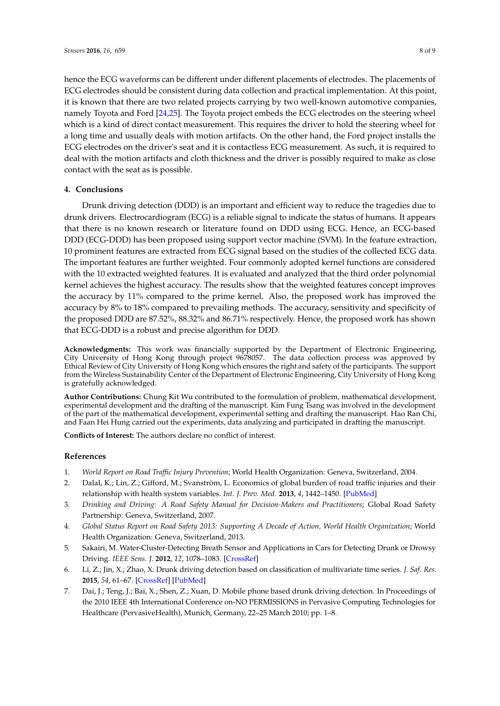hence the ECG waveforms can be different under different placements of electrodes. The placements of ECG electrodes should be consistent during data collection and practical implementation. At this point, it is known that there are two related projects carrying by two well-known automotive companies, namely Toyota and Ford [\[24](#page-8-16)[,25\]](#page-8-17). The Toyota project embeds the ECG electrodes on the steering wheel which is a kind of direct contact measurement. This requires the driver to hold the steering wheel for a long time and usually deals with motion artifacts. On the other hand, the Ford project installs the ECG electrodes on the driver's seat and it is contactless ECG measurement. As such, it is required to deal with the motion artifacts and cloth thickness and the driver is possibly required to make as close contact with the seat as is possible.

#### <span id="page-7-7"></span>**4. Conclusions**

Drunk driving detection (DDD) is an important and efficient way to reduce the tragedies due to drunk drivers. Electrocardiogram (ECG) is a reliable signal to indicate the status of humans. It appears that there is no known research or literature found on DDD using ECG. Hence, an ECG-based DDD (ECG-DDD) has been proposed using support vector machine (SVM). In the feature extraction, 10 prominent features are extracted from ECG signal based on the studies of the collected ECG data. The important features are further weighted. Four commonly adopted kernel functions are considered with the 10 extracted weighted features. It is evaluated and analyzed that the third order polynomial kernel achieves the highest accuracy. The results show that the weighted features concept improves the accuracy by 11% compared to the prime kernel. Also, the proposed work has improved the accuracy by 8% to 18% compared to prevailing methods. The accuracy, sensitivity and specificity of the proposed DDD are 87.52%, 88.32% and 86.71% respectively. Hence, the proposed work has shown that ECG-DDD is a robust and precise algorithm for DDD.

**Acknowledgments:** This work was financially supported by the Department of Electronic Engineering, City University of Hong Kong through project 9678057. The data collection process was approved by Ethical Review of City University of Hong Kong which ensures the right and safety of the participants. The support from the Wireless Sustainability Center of the Department of Electronic Engineering, City University of Hong Kong is gratefully acknowledged.

**Author Contributions:** Chung Kit Wu contributed to the formulation of problem, mathematical development, experimental development and the drafting of the manuscript. Kim Fung Tsang was involved in the development of the part of the mathematical development, experimental setting and drafting the manuscript. Hao Ran Chi, and Faan Hei Hung carried out the experiments, data analyzing and participated in drafting the manuscript.

**Conflicts of Interest:** The authors declare no conflict of interest.

#### **References**

- <span id="page-7-0"></span>1. *World Report on Road Traffic Injury Prevention*; World Health Organization: Geneva, Switzerland, 2004.
- <span id="page-7-1"></span>2. Dalal, K.; Lin, Z.; Gifford, M.; Svanström, L. Economics of global burden of road traffic injuries and their relationship with health system variables. *Int. J. Prev. Med.* **2013**, *4*, 1442–1450. [\[PubMed\]](http://www.ncbi.nlm.nih.gov/pubmed/24498501)
- <span id="page-7-2"></span>3. *Drinking and Driving: A Road Safety Manual for Decision-Makers and Practitioners*; Global Road Safety Partnership: Geneva, Switzerland, 2007.
- <span id="page-7-3"></span>4. *Global Status Report on Road Safety 2013: Supporting A Decade of Action, World Health Organization*; World Health Organization: Geneva, Switzerland, 2013.
- <span id="page-7-4"></span>5. Sakairi, M. Water-Cluster-Detecting Breath Sensor and Applications in Cars for Detecting Drunk or Drowsy Driving. *IEEE Sens. J.* **2012**, *12*, 1078–1083. [\[CrossRef\]](http://dx.doi.org/10.1109/JSEN.2011.2163816)
- <span id="page-7-5"></span>6. Li, Z.; Jin, X.; Zhao, X. Drunk driving detection based on classification of multivariate time series. *J. Saf. Res.* **2015**, *54*, 61–67. [\[CrossRef\]](http://dx.doi.org/10.1016/j.jsr.2015.06.007) [\[PubMed\]](http://www.ncbi.nlm.nih.gov/pubmed/26403903)
- <span id="page-7-6"></span>7. Dai, J.; Teng, J.; Bai, X.; Shen, Z.; Xuan, D. Mobile phone based drunk driving detection. In Proceedings of the 2010 IEEE 4th International Conference on-NO PERMISSIONS in Pervasive Computing Technologies for Healthcare (PervasiveHealth), Munich, Germany, 22–25 March 2010; pp. 1–8.